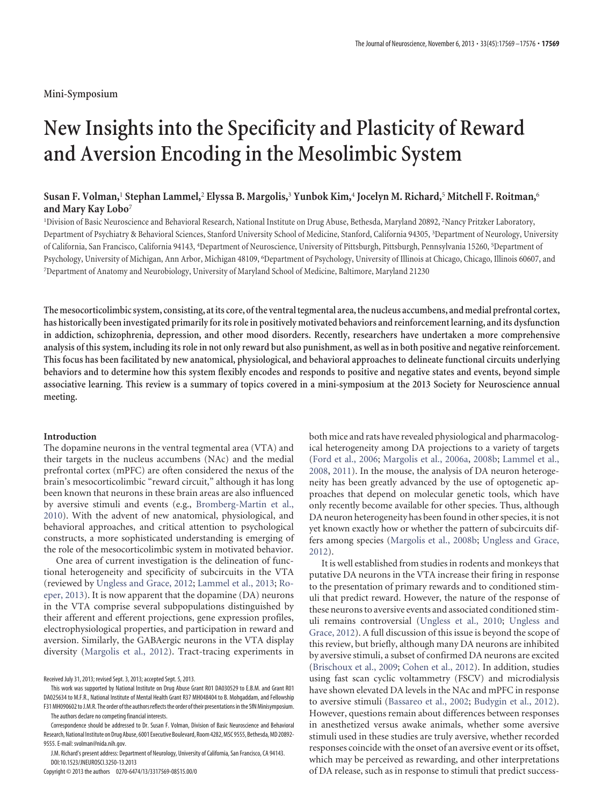# **New Insights into the Specificity and Plasticity of Reward and Aversion Encoding in the Mesolimbic System**

# **Susan F. Volman,**<sup>1</sup> **Stephan Lammel,**<sup>2</sup> **Elyssa B. Margolis,**<sup>3</sup> **Yunbok Kim,**<sup>4</sup> **Jocelyn M. Richard,**<sup>5</sup> **Mitchell F. Roitman,**<sup>6</sup> **and Mary Kay Lobo**<sup>7</sup>

<sup>1</sup>Division of Basic Neuroscience and Behavioral Research, National Institute on Drug Abuse, Bethesda, Maryland 20892, <sup>2</sup>Nancy Pritzker Laboratory, Department of Psychiatry & Behavioral Sciences, Stanford University School of Medicine, Stanford, California 94305, <sup>3</sup> Department of Neurology, University of California, San Francisco, California 94143, <sup>4</sup> Department of Neuroscience, University of Pittsburgh, Pittsburgh, Pennsylvania 15260, <sup>5</sup> Department of Psychology, University of Michigan, Ann Arbor, Michigan 48109, <sup>6</sup>Department of Psychology, University of Illinois at Chicago, Chicago, Illinois 60607, and 7 Department of Anatomy and Neurobiology, University of Maryland School of Medicine, Baltimore, Maryland 21230

**The mesocorticolimbic system, consisting, at its core, ofthe ventraltegmental area,the nucleus accumbens, and medial prefrontal cortex, has historically been investigated primarily for its role in positively motivated behaviors and reinforcement learning, and its dysfunction in addiction, schizophrenia, depression, and other mood disorders. Recently, researchers have undertaken a more comprehensive analysis of this system, including its role in not only reward but also punishment, as well as in both positive and negative reinforcement. This focus has been facilitated by new anatomical, physiological, and behavioral approaches to delineate functional circuits underlying behaviors and to determine how this system flexibly encodes and responds to positive and negative states and events, beyond simple associative learning. This review is a summary of topics covered in a mini-symposium at the 2013 Society for Neuroscience annual meeting.**

#### **Introduction**

The dopamine neurons in the ventral tegmental area (VTA) and their targets in the nucleus accumbens (NAc) and the medial prefrontal cortex (mPFC) are often considered the nexus of the brain's mesocorticolimbic "reward circuit," although it has long been known that neurons in these brain areas are also influenced by aversive stimuli and events (e.g., [Bromberg-Martin et al.,](#page-5-0) [2010\)](#page-5-0). With the advent of new anatomical, physiological, and behavioral approaches, and critical attention to psychological constructs, a more sophisticated understanding is emerging of the role of the mesocorticolimbic system in motivated behavior.

One area of current investigation is the delineation of functional heterogeneity and specificity of subcircuits in the VTA (reviewed by [Ungless and Grace, 2012;](#page-7-0) [Lammel et al., 2013;](#page-6-0) [Ro](#page-7-1)[eper, 2013\)](#page-7-1). It is now apparent that the dopamine (DA) neurons in the VTA comprise several subpopulations distinguished by their afferent and efferent projections, gene expression profiles, electrophysiological properties, and participation in reward and aversion. Similarly, the GABAergic neurons in the VTA display diversity [\(Margolis et al., 2012\)](#page-6-1). Tract-tracing experiments in

Received July 31, 2013; revised Sept. 3, 2013; accepted Sept. 5, 2013.

This work was supported by National Institute on Drug Abuse Grant R01 DA030529 to E.B.M. and Grant R01 DA025634 to M.F.R., National Institute of Mental Health Grant R37 MH048404 to B. Mohgaddam, and Fellowship F31 MH090602 to J.M.R. The order of the authors reflects the order of their presentations in the SfN Minisymposium.

The authors declare no competing financial interests.

Correspondence should be addressed to Dr. Susan F. Volman, Division of Basic Neuroscience and Behavioral Research, National Institute on Drug Abuse, 6001 Executive Boulevard, Room 4282, MSC 9555, Bethesda, MD 20892-9555. E-mail: svolman@nida.nih.gov.

J.M. Richard's present address: Department of Neurology, University of California, San Francisco, CA 94143. DOI:10.1523/JNEUROSCI.3250-13.2013

Copyright © 2013 the authors 0270-6474/13/3317569-08\$15.00/0

both mice and rats have revealed physiological and pharmacological heterogeneity among DA projections to a variety of targets [\(Ford et al., 2006;](#page-5-1) [Margolis et al., 2006a,](#page-6-2) [2008b;](#page-6-3) [Lammel et al.,](#page-5-2) [2008,](#page-5-2) [2011\)](#page-5-3). In the mouse, the analysis of DA neuron heterogeneity has been greatly advanced by the use of optogenetic approaches that depend on molecular genetic tools, which have only recently become available for other species. Thus, although DA neuron heterogeneity has been found in other species, it is not yet known exactly how or whether the pattern of subcircuits differs among species [\(Margolis et al., 2008b;](#page-6-3) [Ungless and Grace,](#page-7-0) [2012\)](#page-7-0).

It is well established from studies in rodents and monkeys that putative DA neurons in the VTA increase their firing in response to the presentation of primary rewards and to conditioned stimuli that predict reward. However, the nature of the response of these neurons to aversive events and associated conditioned stimuli remains controversial [\(Ungless et al., 2010;](#page-7-2) [Ungless and](#page-7-0) [Grace, 2012\)](#page-7-0). A full discussion of this issue is beyond the scope of this review, but briefly, although many DA neurons are inhibited by aversive stimuli, a subset of confirmed DA neurons are excited [\(Brischoux et al., 2009;](#page-4-0) [Cohen et al., 2012\)](#page-5-4). In addition, studies using fast scan cyclic voltammetry (FSCV) and microdialysis have shown elevated DA levels in the NAc and mPFC in response to aversive stimuli [\(Bassareo et al., 2002;](#page-4-1) [Budygin et al., 2012\)](#page-5-5). However, questions remain about differences between responses in anesthetized versus awake animals, whether some aversive stimuli used in these studies are truly aversive, whether recorded responses coincide with the onset of an aversive event or its offset, which may be perceived as rewarding, and other interpretations of DA release, such as in response to stimuli that predict success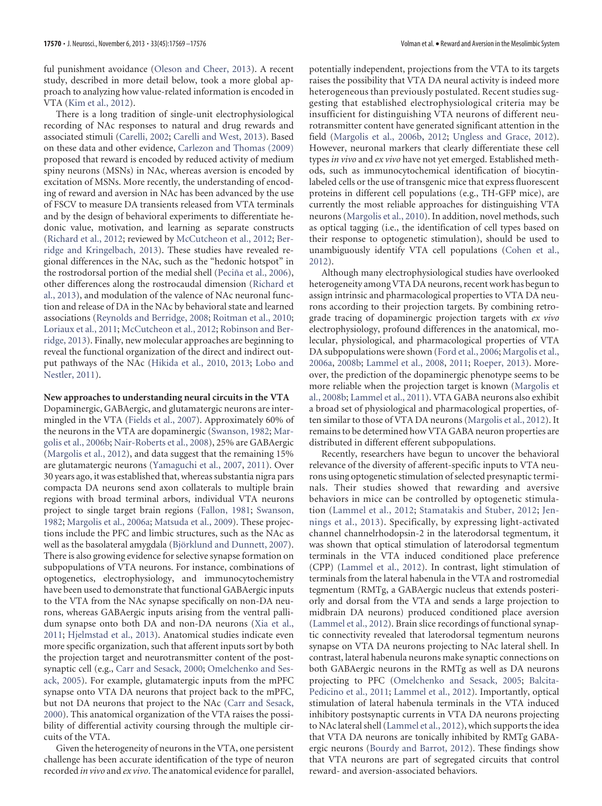ful punishment avoidance [\(Oleson and Cheer, 2013\)](#page-6-4). A recent study, described in more detail below, took a more global approach to analyzing how value-related information is encoded in VTA [\(Kim et al., 2012\)](#page-5-6).

There is a long tradition of single-unit electrophysiological recording of NAc responses to natural and drug rewards and associated stimuli [\(Carelli, 2002;](#page-5-7) [Carelli and West, 2013\)](#page-5-8). Based on these data and other evidence, [Carlezon and Thomas \(2009\)](#page-5-9) proposed that reward is encoded by reduced activity of medium spiny neurons (MSNs) in NAc, whereas aversion is encoded by excitation of MSNs. More recently, the understanding of encoding of reward and aversion in NAc has been advanced by the use of FSCV to measure DA transients released from VTA terminals and by the design of behavioral experiments to differentiate hedonic value, motivation, and learning as separate constructs [\(Richard et al., 2012;](#page-6-5) reviewed by [McCutcheon et al., 2012;](#page-6-6) [Ber](#page-4-2)[ridge and Kringelbach, 2013\)](#page-4-2). These studies have revealed regional differences in the NAc, such as the "hedonic hotspot" in the rostrodorsal portion of the medial shell (Peciña et al., 2006), other differences along the rostrocaudal dimension [\(Richard et](#page-6-8) [al., 2013\)](#page-6-8), and modulation of the valence of NAc neuronal function and release of DA in the NAc by behavioral state and learned associations [\(Reynolds and Berridge, 2008;](#page-6-9) [Roitman et al., 2010;](#page-7-3) [Loriaux et al., 2011;](#page-6-10) [McCutcheon et al., 2012;](#page-6-6) [Robinson and Ber](#page-6-11)[ridge, 2013\)](#page-6-11). Finally, new molecular approaches are beginning to reveal the functional organization of the direct and indirect output pathways of the NAc [\(Hikida et al., 2010,](#page-5-10) [2013;](#page-5-11) [Lobo and](#page-6-12) [Nestler, 2011\)](#page-6-12).

#### **New approaches to understanding neural circuits in the VTA**

Dopaminergic, GABAergic, and glutamatergic neurons are intermingled in the VTA [\(Fields et al., 2007\)](#page-5-12). Approximately 60% of the neurons in the VTA are dopaminergic [\(Swanson, 1982;](#page-7-4) [Mar](#page-6-13)[golis et al., 2006b;](#page-6-13) [Nair-Roberts et al., 2008\)](#page-6-14), 25% are GABAergic [\(Margolis et al., 2012\)](#page-6-1), and data suggest that the remaining 15% are glutamatergic neurons [\(Yamaguchi et al., 2007,](#page-7-5) [2011\)](#page-7-6). Over 30 years ago, it was established that, whereas substantia nigra pars compacta DA neurons send axon collaterals to multiple brain regions with broad terminal arbors, individual VTA neurons project to single target brain regions [\(Fallon, 1981;](#page-5-13) [Swanson,](#page-7-4) [1982;](#page-7-4) [Margolis et al., 2006a;](#page-6-2) [Matsuda et al., 2009\)](#page-6-15). These projections include the PFC and limbic structures, such as the NAc as well as the basolateral amygdala (Björklund and Dunnett, 2007). There is also growing evidence for selective synapse formation on subpopulations of VTA neurons. For instance, combinations of optogenetics, electrophysiology, and immunocytochemistry have been used to demonstrate that functional GABAergic inputs to the VTA from the NAc synapse specifically on non-DA neurons, whereas GABAergic inputs arising from the ventral pallidum synapse onto both DA and non-DA neurons [\(Xia et al.,](#page-7-7) [2011;](#page-7-7) [Hjelmstad et al., 2013\)](#page-5-14). Anatomical studies indicate even more specific organization, such that afferent inputs sort by both the projection target and neurotransmitter content of the postsynaptic cell (e.g., [Carr and Sesack, 2000;](#page-5-15) [Omelchenko and Ses](#page-6-16)[ack, 2005\)](#page-6-16). For example, glutamatergic inputs from the mPFC synapse onto VTA DA neurons that project back to the mPFC, but not DA neurons that project to the NAc [\(Carr and Sesack,](#page-5-15) [2000\)](#page-5-15). This anatomical organization of the VTA raises the possibility of differential activity coursing through the multiple circuits of the VTA.

Given the heterogeneity of neurons in the VTA, one persistent challenge has been accurate identification of the type of neuron recorded *in vivo* and *ex vivo*. The anatomical evidence for parallel, potentially independent, projections from the VTA to its targets raises the possibility that VTA DA neural activity is indeed more heterogeneous than previously postulated. Recent studies suggesting that established electrophysiological criteria may be insufficient for distinguishing VTA neurons of different neurotransmitter content have generated significant attention in the field [\(Margolis et al., 2006b,](#page-6-13) [2012;](#page-6-1) [Ungless and Grace, 2012\)](#page-7-0). However, neuronal markers that clearly differentiate these cell types *in vivo* and *ex vivo* have not yet emerged. Established methods, such as immunocytochemical identification of biocytinlabeled cells or the use of transgenic mice that express fluorescent proteins in different cell populations (e.g., TH-GFP mice), are currently the most reliable approaches for distinguishing VTA neurons [\(Margolis et al., 2010\)](#page-6-17). In addition, novel methods, such as optical tagging (i.e., the identification of cell types based on their response to optogenetic stimulation), should be used to unambiguously identify VTA cell populations [\(Cohen et al.,](#page-5-4) [2012\)](#page-5-4).

Although many electrophysiological studies have overlooked heterogeneity among VTA DA neurons, recent work has begun to assign intrinsic and pharmacological properties to VTA DA neurons according to their projection targets. By combining retrograde tracing of dopaminergic projection targets with *ex vivo* electrophysiology, profound differences in the anatomical, molecular, physiological, and pharmacological properties of VTA DA subpopulations were shown [\(Ford et al., 2006;](#page-5-1) [Margolis et al.,](#page-6-2) [2006a,](#page-6-2) [2008b;](#page-6-3) [Lammel et al., 2008,](#page-5-2) [2011;](#page-5-3) [Roeper, 2013\)](#page-7-1). Moreover, the prediction of the dopaminergic phenotype seems to be more reliable when the projection target is known [\(Margolis et](#page-6-3) [al., 2008b;](#page-6-3) [Lammel et al., 2011\)](#page-5-3). VTA GABA neurons also exhibit a broad set of physiological and pharmacological properties, often similar to those of VTA DA neurons [\(Margolis et al., 2012\)](#page-6-1). It remains to be determined how VTA GABA neuron properties are distributed in different efferent subpopulations.

Recently, researchers have begun to uncover the behavioral relevance of the diversity of afferent-specific inputs to VTA neurons using optogenetic stimulation of selected presynaptic terminals. Their studies showed that rewarding and aversive behaviors in mice can be controlled by optogenetic stimulation [\(Lammel et al., 2012;](#page-6-18) [Stamatakis and Stuber, 2012;](#page-7-8) [Jen](#page-5-16)[nings et al., 2013\)](#page-5-16). Specifically, by expressing light-activated channel channelrhodopsin-2 in the laterodorsal tegmentum, it was shown that optical stimulation of laterodorsal tegmentum terminals in the VTA induced conditioned place preference (CPP) [\(Lammel et al., 2012\)](#page-6-18). In contrast, light stimulation of terminals from the lateral habenula in the VTA and rostromedial tegmentum (RMTg, a GABAergic nucleus that extends posteriorly and dorsal from the VTA and sends a large projection to midbrain DA neurons) produced conditioned place aversion [\(Lammel et al., 2012\)](#page-6-18). Brain slice recordings of functional synaptic connectivity revealed that laterodorsal tegmentum neurons synapse on VTA DA neurons projecting to NAc lateral shell. In contrast, lateral habenula neurons make synaptic connections on both GABAergic neurons in the RMTg as well as DA neurons projecting to PFC [\(Omelchenko and Sesack, 2005;](#page-6-16) [Balcita-](#page-4-4)[Pedicino et al., 2011;](#page-4-4) [Lammel et al., 2012\)](#page-6-18). Importantly, optical stimulation of lateral habenula terminals in the VTA induced inhibitory postsynaptic currents in VTA DA neurons projecting to NAc lateral shell [\(Lammel et al., 2012\)](#page-6-18), which supports the idea that VTA DA neurons are tonically inhibited by RMTg GABAergic neurons [\(Bourdy and Barrot, 2012\)](#page-4-5). These findings show that VTA neurons are part of segregated circuits that control reward- and aversion-associated behaviors.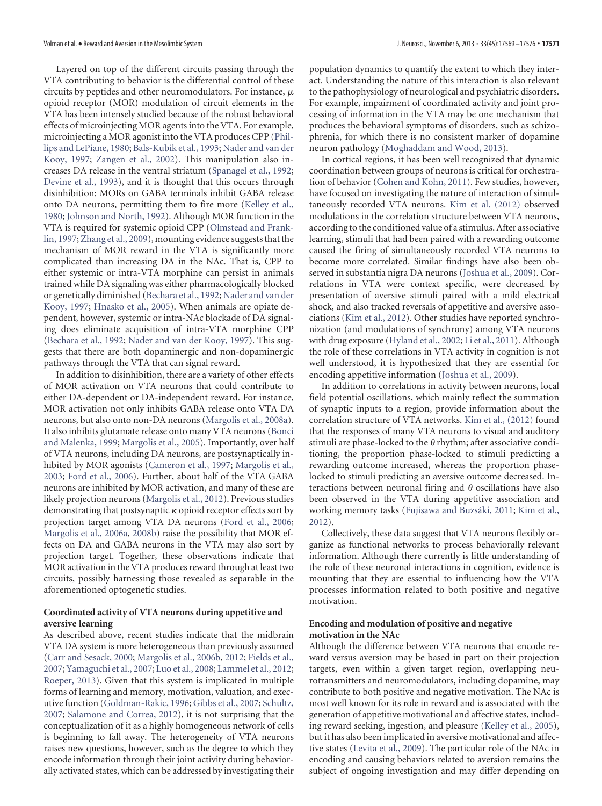Layered on top of the different circuits passing through the VTA contributing to behavior is the differential control of these circuits by peptides and other neuromodulators. For instance,  $\mu$ opioid receptor (MOR) modulation of circuit elements in the VTA has been intensely studied because of the robust behavioral effects of microinjecting MOR agents into the VTA. For example, microinjecting a MOR agonist into the VTA produces CPP [\(Phil](#page-6-19)[lips and LePiane, 1980;](#page-6-19) [Bals-Kubik et al., 1993;](#page-4-6) [Nader and van der](#page-6-20) [Kooy, 1997;](#page-6-20) [Zangen et al., 2002\)](#page-7-9). This manipulation also increases DA release in the ventral striatum [\(Spanagel et al., 1992;](#page-7-10) [Devine et al., 1993\)](#page-5-17), and it is thought that this occurs through disinhibition: MORs on GABA terminals inhibit GABA release onto DA neurons, permitting them to fire more [\(Kelley et al.,](#page-5-18) [1980;](#page-5-18) [Johnson and North, 1992\)](#page-5-19). Although MOR function in the VTA is required for systemic opioid CPP [\(Olmstead and Frank](#page-6-21)[lin, 1997;](#page-6-21) [Zhang et al., 2009\)](#page-7-11), mounting evidence suggests that the mechanism of MOR reward in the VTA is significantly more complicated than increasing DA in the NAc. That is, CPP to either systemic or intra-VTA morphine can persist in animals trained while DA signaling was either pharmacologically blocked or genetically diminished [\(Bechara et al., 1992;](#page-4-7) [Nader and van der](#page-6-20) [Kooy, 1997;](#page-6-20) [Hnasko et al., 2005\)](#page-5-20). When animals are opiate dependent, however, systemic or intra-NAc blockade of DA signaling does eliminate acquisition of intra-VTA morphine CPP [\(Bechara et al., 1992;](#page-4-7) [Nader and van der Kooy, 1997\)](#page-6-20). This suggests that there are both dopaminergic and non-dopaminergic pathways through the VTA that can signal reward.

In addition to disinhibition, there are a variety of other effects of MOR activation on VTA neurons that could contribute to either DA-dependent or DA-independent reward. For instance, MOR activation not only inhibits GABA release onto VTA DA neurons, but also onto non-DA neurons [\(Margolis et al., 2008a\)](#page-6-22). It also inhibits glutamate release onto many VTA neurons [\(Bonci](#page-4-8) [and Malenka, 1999;](#page-4-8) [Margolis et al., 2005\)](#page-6-23). Importantly, over half of VTA neurons, including DA neurons, are postsynaptically inhibited by MOR agonists [\(Cameron et al., 1997;](#page-5-21) [Margolis et al.,](#page-6-24) [2003;](#page-6-24) [Ford et al., 2006\)](#page-5-1). Further, about half of the VTA GABA neurons are inhibited by MOR activation, and many of these are likely projection neurons [\(Margolis et al., 2012\)](#page-6-1). Previous studies demonstrating that postsynaptic  $\kappa$  opioid receptor effects sort by projection target among VTA DA neurons [\(Ford et al., 2006;](#page-5-1) [Margolis et al., 2006a,](#page-6-2) [2008b\)](#page-6-3) raise the possibility that MOR effects on DA and GABA neurons in the VTA may also sort by projection target. Together, these observations indicate that MOR activation in the VTA produces reward through at least two circuits, possibly harnessing those revealed as separable in the aforementioned optogenetic studies.

## **Coordinated activity of VTA neurons during appetitive and aversive learning**

As described above, recent studies indicate that the midbrain VTA DA system is more heterogeneous than previously assumed [\(Carr and Sesack, 2000;](#page-5-15) [Margolis et al., 2006b,](#page-6-13) [2012;](#page-6-1) [Fields et al.,](#page-5-12) [2007;](#page-5-12) [Yamaguchi et al., 2007;](#page-7-5) [Luo et al., 2008;](#page-6-25) [Lammel et al., 2012;](#page-6-18) [Roeper, 2013\)](#page-7-1). Given that this system is implicated in multiple forms of learning and memory, motivation, valuation, and executive function [\(Goldman-Rakic, 1996;](#page-5-22) [Gibbs et al., 2007;](#page-5-23) [Schultz,](#page-7-12) [2007;](#page-7-12) [Salamone and Correa, 2012\)](#page-7-13), it is not surprising that the conceptualization of it as a highly homogeneous network of cells is beginning to fall away. The heterogeneity of VTA neurons raises new questions, however, such as the degree to which they encode information through their joint activity during behaviorally activated states, which can be addressed by investigating their

population dynamics to quantify the extent to which they interact. Understanding the nature of this interaction is also relevant to the pathophysiology of neurological and psychiatric disorders. For example, impairment of coordinated activity and joint processing of information in the VTA may be one mechanism that produces the behavioral symptoms of disorders, such as schizophrenia, for which there is no consistent marker of dopamine neuron pathology [\(Moghaddam and Wood, 2013\)](#page-6-26).

In cortical regions, it has been well recognized that dynamic coordination between groups of neurons is critical for orchestration of behavior [\(Cohen and Kohn, 2011\)](#page-5-24). Few studies, however, have focused on investigating the nature of interaction of simultaneously recorded VTA neurons. [Kim et al. \(2012\)](#page-5-6) observed modulations in the correlation structure between VTA neurons, according to the conditioned value of a stimulus. After associative learning, stimuli that had been paired with a rewarding outcome caused the firing of simultaneously recorded VTA neurons to become more correlated. Similar findings have also been observed in substantia nigra DA neurons [\(Joshua et al., 2009\)](#page-5-25). Correlations in VTA were context specific, were decreased by presentation of aversive stimuli paired with a mild electrical shock, and also tracked reversals of appetitive and aversive associations [\(Kim et al., 2012\)](#page-5-6). Other studies have reported synchronization (and modulations of synchrony) among VTA neurons with drug exposure [\(Hyland et al., 2002;](#page-5-26) [Li et al., 2011\)](#page-6-27). Although the role of these correlations in VTA activity in cognition is not well understood, it is hypothesized that they are essential for encoding appetitive information [\(Joshua et al., 2009\)](#page-5-25).

In addition to correlations in activity between neurons, local field potential oscillations, which mainly reflect the summation of synaptic inputs to a region, provide information about the correlation structure of VTA networks. [Kim et al., \(2012\)](#page-5-6) found that the responses of many VTA neurons to visual and auditory stimuli are phase-locked to the  $\theta$  rhythm; after associative conditioning, the proportion phase-locked to stimuli predicting a rewarding outcome increased, whereas the proportion phaselocked to stimuli predicting an aversive outcome decreased. Interactions between neuronal firing and  $\theta$  oscillations have also been observed in the VTA during appetitive association and working memory tasks (Fujisawa and Buzsáki, 2011; [Kim et al.,](#page-5-6) [2012\)](#page-5-6).

Collectively, these data suggest that VTA neurons flexibly organize as functional networks to process behaviorally relevant information. Although there currently is little understanding of the role of these neuronal interactions in cognition, evidence is mounting that they are essential to influencing how the VTA processes information related to both positive and negative motivation.

#### **Encoding and modulation of positive and negative motivation in the NAc**

Although the difference between VTA neurons that encode reward versus aversion may be based in part on their projection targets, even within a given target region, overlapping neurotransmitters and neuromodulators, including dopamine, may contribute to both positive and negative motivation. The NAc is most well known for its role in reward and is associated with the generation of appetitive motivational and affective states, including reward seeking, ingestion, and pleasure [\(Kelley et al., 2005\)](#page-5-28), but it has also been implicated in aversive motivational and affective states [\(Levita et al., 2009\)](#page-6-28). The particular role of the NAc in encoding and causing behaviors related to aversion remains the subject of ongoing investigation and may differ depending on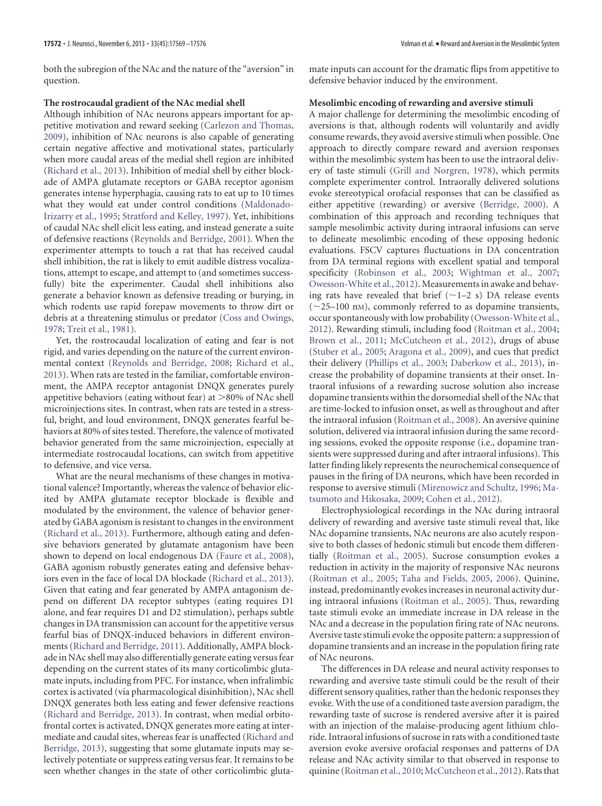#### **The rostrocaudal gradient of the NAc medial shell**

Although inhibition of NAc neurons appears important for appetitive motivation and reward seeking [\(Carlezon and Thomas,](#page-5-9) [2009\)](#page-5-9), inhibition of NAc neurons is also capable of generating certain negative affective and motivational states, particularly when more caudal areas of the medial shell region are inhibited [\(Richard et al., 2013\)](#page-6-8). Inhibition of medial shell by either blockade of AMPA glutamate receptors or GABA receptor agonism generates intense hyperphagia, causing rats to eat up to 10 times what they would eat under control conditions [\(Maldonado-](#page-6-29)[Irizarry et al., 1995;](#page-6-29) [Stratford and Kelley, 1997\)](#page-7-14). Yet, inhibitions of caudal NAc shell elicit less eating, and instead generate a suite of defensive reactions [\(Reynolds and Berridge, 2001\)](#page-6-30). When the experimenter attempts to touch a rat that has received caudal shell inhibition, the rat is likely to emit audible distress vocalizations, attempt to escape, and attempt to (and sometimes successfully) bite the experimenter. Caudal shell inhibitions also generate a behavior known as defensive treading or burying, in which rodents use rapid forepaw movements to throw dirt or debris at a threatening stimulus or predator [\(Coss and Owings,](#page-5-29) [1978;](#page-5-29) [Treit et al., 1981\)](#page-7-15).

Yet, the rostrocaudal localization of eating and fear is not rigid, and varies depending on the nature of the current environmental context [\(Reynolds and Berridge, 2008;](#page-6-9) [Richard et al.,](#page-6-8) [2013\)](#page-6-8). When rats are tested in the familiar, comfortable environment, the AMPA receptor antagonist DNQX generates purely appetitive behaviors (eating without fear) at >80% of NAc shell microinjections sites. In contrast, when rats are tested in a stressful, bright, and loud environment, DNQX generates fearful behaviors at 80% of sites tested. Therefore, the valence of motivated behavior generated from the same microinjection, especially at intermediate rostrocaudal locations, can switch from appetitive to defensive, and vice versa.

What are the neural mechanisms of these changes in motivational valence? Importantly, whereas the valence of behavior elicited by AMPA glutamate receptor blockade is flexible and modulated by the environment, the valence of behavior generated by GABA agonism is resistant to changes in the environment [\(Richard et al., 2013\)](#page-6-8). Furthermore, although eating and defensive behaviors generated by glutamate antagonism have been shown to depend on local endogenous DA [\(Faure et al., 2008\)](#page-5-30), GABA agonism robustly generates eating and defensive behaviors even in the face of local DA blockade [\(Richard et al., 2013\)](#page-6-8). Given that eating and fear generated by AMPA antagonism depend on different DA receptor subtypes (eating requires D1 alone, and fear requires D1 and D2 stimulation), perhaps subtle changes in DA transmission can account for the appetitive versus fearful bias of DNQX-induced behaviors in different environments [\(Richard and Berridge, 2011\)](#page-6-31). Additionally, AMPA blockade in NAc shell may also differentially generate eating versus fear depending on the current states of its many corticolimbic glutamate inputs, including from PFC. For instance, when infralimbic cortex is activated (via pharmacological disinhibition), NAc shell DNQX generates both less eating and fewer defensive reactions [\(Richard and Berridge, 2013\)](#page-6-32). In contrast, when medial orbitofrontal cortex is activated, DNQX generates more eating at intermediate and caudal sites, whereas fear is unaffected [\(Richard and](#page-6-32) [Berridge, 2013\)](#page-6-32), suggesting that some glutamate inputs may selectively potentiate or suppress eating versus fear. It remains to be seen whether changes in the state of other corticolimbic glutamate inputs can account for the dramatic flips from appetitive to defensive behavior induced by the environment.

#### **Mesolimbic encoding of rewarding and aversive stimuli**

A major challenge for determining the mesolimbic encoding of aversions is that, although rodents will voluntarily and avidly consume rewards, they avoid aversive stimuli when possible. One approach to directly compare reward and aversion responses within the mesolimbic system has been to use the intraoral delivery of taste stimuli [\(Grill and Norgren, 1978\)](#page-5-31), which permits complete experimenter control. Intraorally delivered solutions evoke stereotypical orofacial responses that can be classified as either appetitive (rewarding) or aversive [\(Berridge, 2000\)](#page-4-9). A combination of this approach and recording techniques that sample mesolimbic activity during intraoral infusions can serve to delineate mesolimbic encoding of these opposing hedonic evaluations. FSCV captures fluctuations in DA concentration from DA terminal regions with excellent spatial and temporal specificity [\(Robinson et al., 2003;](#page-6-33) [Wightman et al., 2007;](#page-7-16) [Owesson-White et al., 2012\)](#page-6-34). Measurements in awake and behaving rats have revealed that brief  $(\sim 1-2 \text{ s})$  DA release events  $(\sim$ 25–100 nm), commonly referred to as dopamine transients, occur spontaneously with low probability [\(Owesson-White et al.,](#page-6-34) [2012\)](#page-6-34). Rewarding stimuli, including food [\(Roitman et al., 2004;](#page-7-17) [Brown et al., 2011;](#page-5-32) [McCutcheon et al., 2012\)](#page-6-6), drugs of abuse [\(Stuber et al., 2005;](#page-7-18) [Aragona et al., 2009\)](#page-4-10), and cues that predict their delivery [\(Phillips et al., 2003;](#page-6-35) [Daberkow et al., 2013\)](#page-5-33), increase the probability of dopamine transients at their onset. Intraoral infusions of a rewarding sucrose solution also increase dopamine transients within the dorsomedial shell of the NAc that are time-locked to infusion onset, as well as throughout and after the intraoral infusion [\(Roitman et al., 2008\)](#page-7-19). An aversive quinine solution, delivered via intraoral infusion during the same recording sessions, evoked the opposite response (i.e., dopamine transients were suppressed during and after intraoral infusions). This latter finding likely represents the neurochemical consequence of pauses in the firing of DA neurons, which have been recorded in response to aversive stimuli [\(Mirenowicz and Schultz, 1996;](#page-6-36) [Ma](#page-6-37)[tsumoto and Hikosaka, 2009;](#page-6-37) [Cohen et al., 2012\)](#page-5-4).

Electrophysiological recordings in the NAc during intraoral delivery of rewarding and aversive taste stimuli reveal that, like NAc dopamine transients, NAc neurons are also acutely responsive to both classes of hedonic stimuli but encode them differentially [\(Roitman et al., 2005\)](#page-7-20). Sucrose consumption evokes a reduction in activity in the majority of responsive NAc neurons [\(Roitman et al., 2005;](#page-7-20) [Taha and Fields, 2005,](#page-7-21) [2006\)](#page-7-22). Quinine, instead, predominantly evokes increases in neuronal activity during intraoral infusions [\(Roitman et al., 2005\)](#page-7-20). Thus, rewarding taste stimuli evoke an immediate increase in DA release in the NAc and a decrease in the population firing rate of NAc neurons. Aversive taste stimuli evoke the opposite pattern: a suppression of dopamine transients and an increase in the population firing rate of NAc neurons.

The differences in DA release and neural activity responses to rewarding and aversive taste stimuli could be the result of their different sensory qualities, rather than the hedonic responses they evoke. With the use of a conditioned taste aversion paradigm, the rewarding taste of sucrose is rendered aversive after it is paired with an injection of the malaise-producing agent lithium chloride. Intraoral infusions of sucrose in rats with a conditioned taste aversion evoke aversive orofacial responses and patterns of DA release and NAc activity similar to that observed in response to quinine [\(Roitman et al., 2010;](#page-7-3) [McCutcheon et al., 2012\)](#page-6-6). Rats that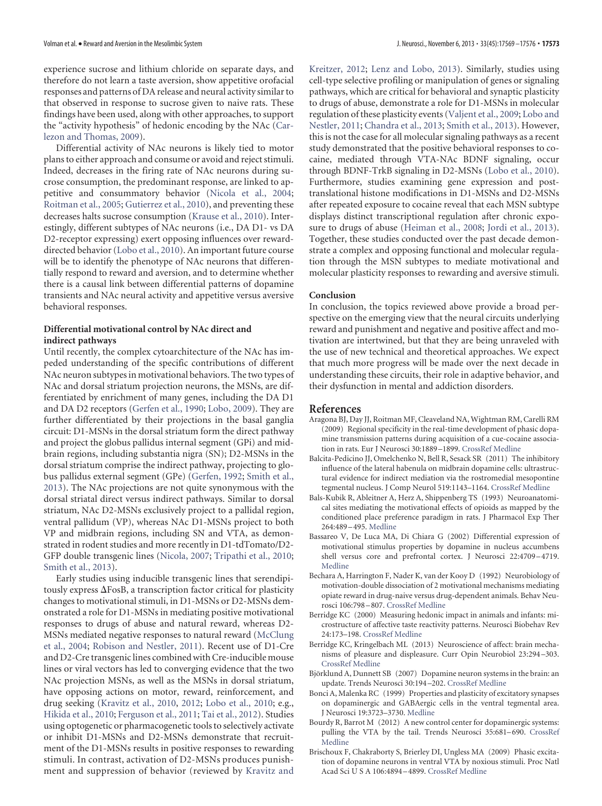experience sucrose and lithium chloride on separate days, and therefore do not learn a taste aversion, show appetitive orofacial responses and patterns of DA release and neural activity similar to that observed in response to sucrose given to naive rats. These findings have been used, along with other approaches, to support the "activity hypothesis" of hedonic encoding by the NAc [\(Car](#page-5-9)[lezon and Thomas, 2009\)](#page-5-9).

Differential activity of NAc neurons is likely tied to motor plans to either approach and consume or avoid and reject stimuli. Indeed, decreases in the firing rate of NAc neurons during sucrose consumption, the predominant response, are linked to appetitive and consummatory behavior [\(Nicola et al., 2004;](#page-6-38) [Roitman et al., 2005;](#page-7-20) [Gutierrez et al., 2010\)](#page-5-34), and preventing these decreases halts sucrose consumption [\(Krause et al., 2010\)](#page-5-35). Interestingly, different subtypes of NAc neurons (i.e., DA D1- vs DA D2-receptor expressing) exert opposing influences over rewarddirected behavior [\(Lobo et al., 2010\)](#page-6-39). An important future course will be to identify the phenotype of NAc neurons that differentially respond to reward and aversion, and to determine whether there is a causal link between differential patterns of dopamine transients and NAc neural activity and appetitive versus aversive behavioral responses.

## **Differential motivational control by NAc direct and indirect pathways**

Until recently, the complex cytoarchitecture of the NAc has impeded understanding of the specific contributions of different NAc neuron subtypes in motivational behaviors. The two types of NAc and dorsal striatum projection neurons, the MSNs, are differentiated by enrichment of many genes, including the DA D1 and DA D2 receptors [\(Gerfen et al., 1990;](#page-5-36) [Lobo, 2009\)](#page-6-40). They are further differentiated by their projections in the basal ganglia circuit: D1-MSNs in the dorsal striatum form the direct pathway and project the globus pallidus internal segment (GPi) and midbrain regions, including substantia nigra (SN); D2-MSNs in the dorsal striatum comprise the indirect pathway, projecting to globus pallidus external segment (GPe) [\(Gerfen, 1992;](#page-5-37) [Smith et al.,](#page-7-23) [2013\)](#page-7-23). The NAc projections are not quite synonymous with the dorsal striatal direct versus indirect pathways. Similar to dorsal striatum, NAc D2-MSNs exclusively project to a pallidal region, ventral pallidum (VP), whereas NAc D1-MSNs project to both VP and midbrain regions, including SN and VTA, as demonstrated in rodent studies and more recently in D1-tdTomato/D2- GFP double transgenic lines [\(Nicola, 2007;](#page-6-41) [Tripathi et al., 2010;](#page-7-24) [Smith et al., 2013\)](#page-7-23).

Early studies using inducible transgenic lines that serendipitously express  $\Delta$  FosB, a transcription factor critical for plasticity changes to motivational stimuli, in D1-MSNs or D2-MSNs demonstrated a role for D1-MSNs in mediating positive motivational responses to drugs of abuse and natural reward, whereas D2- MSNs mediated negative responses to natural reward [\(McClung](#page-6-42) [et al., 2004;](#page-6-42) [Robison and Nestler, 2011\)](#page-6-43). Recent use of D1-Cre and D2-Cre transgenic lines combined with Cre-inducible mouse lines or viral vectors has led to converging evidence that the two NAc projection MSNs, as well as the MSNs in dorsal striatum, have opposing actions on motor, reward, reinforcement, and drug seeking [\(Kravitz et al., 2010,](#page-5-38) [2012;](#page-5-39) [Lobo et al., 2010;](#page-6-39) e.g., [Hikida et al., 2010;](#page-5-10) [Ferguson et al., 2011;](#page-5-40) [Tai et al., 2012\)](#page-7-25). Studies using optogenetic or pharmacogenetic tools to selectively activate or inhibit D1-MSNs and D2-MSNs demonstrate that recruitment of the D1-MSNs results in positive responses to rewarding stimuli. In contrast, activation of D2-MSNs produces punishment and suppression of behavior (reviewed by [Kravitz and](#page-5-41)

[Kreitzer, 2012;](#page-5-41) [Lenz and Lobo, 2013\)](#page-6-44). Similarly, studies using cell-type selective profiling or manipulation of genes or signaling pathways, which are critical for behavioral and synaptic plasticity to drugs of abuse, demonstrate a role for D1-MSNs in molecular regulation of these plasticity events [\(Valjent et al., 2009;](#page-7-26) [Lobo and](#page-6-12) [Nestler, 2011;](#page-6-12) [Chandra et al., 2013;](#page-5-42) [Smith et al., 2013\)](#page-7-23). However, this is not the case for all molecular signaling pathways as a recent study demonstrated that the positive behavioral responses to cocaine, mediated through VTA-NAc BDNF signaling, occur through BDNF-TrkB signaling in D2-MSNs [\(Lobo et al., 2010\)](#page-6-39). Furthermore, studies examining gene expression and posttranslational histone modifications in D1-MSNs and D2-MSNs after repeated exposure to cocaine reveal that each MSN subtype displays distinct transcriptional regulation after chronic exposure to drugs of abuse [\(Heiman et al., 2008;](#page-5-43) [Jordi et al., 2013\)](#page-5-44). Together, these studies conducted over the past decade demonstrate a complex and opposing functional and molecular regulation through the MSN subtypes to mediate motivational and molecular plasticity responses to rewarding and aversive stimuli.

#### **Conclusion**

In conclusion, the topics reviewed above provide a broad perspective on the emerging view that the neural circuits underlying reward and punishment and negative and positive affect and motivation are intertwined, but that they are being unraveled with the use of new technical and theoretical approaches. We expect that much more progress will be made over the next decade in understanding these circuits, their role in adaptive behavior, and their dysfunction in mental and addiction disorders.

#### **References**

- <span id="page-4-10"></span>Aragona BJ, Day JJ, Roitman MF, Cleaveland NA, Wightman RM, Carelli RM (2009) Regional specificity in the real-time development of phasic dopamine transmission patterns during acquisition of a cue-cocaine association in rats. Eur J Neurosci 30:1889 –1899. [CrossRef](http://dx.doi.org/10.1111/j.1460-9568.2009.07027.x) [Medline](http://www.ncbi.nlm.nih.gov/pubmed/19912327)
- <span id="page-4-4"></span>Balcita-Pedicino JJ, Omelchenko N, Bell R, Sesack SR (2011) The inhibitory influence of the lateral habenula on midbrain dopamine cells: ultrastructural evidence for indirect mediation via the rostromedial mesopontine tegmental nucleus. J Comp Neurol 519:1143–1164. [CrossRef](http://dx.doi.org/10.1002/cne.22561) [Medline](http://www.ncbi.nlm.nih.gov/pubmed/21344406)
- <span id="page-4-6"></span>Bals-Kubik R, Ableitner A, Herz A, Shippenberg TS (1993) Neuroanatomical sites mediating the motivational effects of opioids as mapped by the conditioned place preference paradigm in rats. J Pharmacol Exp Ther 264:489 –495. [Medline](http://www.ncbi.nlm.nih.gov/pubmed/8093731)
- <span id="page-4-1"></span>Bassareo V, De Luca MA, Di Chiara G (2002) Differential expression of motivational stimulus properties by dopamine in nucleus accumbens shell versus core and prefrontal cortex. J Neurosci 22:4709 –4719. [Medline](http://www.ncbi.nlm.nih.gov/pubmed/12040078)
- <span id="page-4-7"></span>Bechara A, Harrington F, Nader K, van der Kooy D (1992) Neurobiology of motivation-double dissociation of 2 motivational mechanisms mediating opiate reward in drug-naive versus drug-dependent animals. Behav Neurosci 106:798 –807. [CrossRef](http://dx.doi.org/10.1037/0735-7044.106.5.798) [Medline](http://www.ncbi.nlm.nih.gov/pubmed/1359898)
- <span id="page-4-9"></span>Berridge KC (2000) Measuring hedonic impact in animals and infants: microstructure of affective taste reactivity patterns. Neurosci Biobehav Rev 24:173–198. [CrossRef](http://dx.doi.org/10.1016/S0149-7634(99)00072-X) [Medline](http://www.ncbi.nlm.nih.gov/pubmed/10714382)
- <span id="page-4-2"></span>Berridge KC, Kringelbach ML (2013) Neuroscience of affect: brain mechanisms of pleasure and displeasure. Curr Opin Neurobiol 23:294 –303. [CrossRef](http://dx.doi.org/10.1016/j.conb.2013.01.017) [Medline](http://www.ncbi.nlm.nih.gov/pubmed/23375169)
- <span id="page-4-3"></span>Björklund A, Dunnett SB (2007) Dopamine neuron systems in the brain: an update. Trends Neurosci 30:194 –202. [CrossRef](http://dx.doi.org/10.1016/j.tins.2007.03.006) [Medline](http://www.ncbi.nlm.nih.gov/pubmed/17408759)
- <span id="page-4-8"></span>Bonci A, Malenka RC (1999) Properties and plasticity of excitatory synapses on dopaminergic and GABAergic cells in the ventral tegmental area. J Neurosci 19:3723–3730. [Medline](http://www.ncbi.nlm.nih.gov/pubmed/10234004)
- <span id="page-4-5"></span>Bourdy R, Barrot M (2012) A new control center for dopaminergic systems: pulling the VTA by the tail. Trends Neurosci 35:681–690. [CrossRef](http://dx.doi.org/10.1016/j.tins.2012.06.007) [Medline](http://www.ncbi.nlm.nih.gov/pubmed/22824232)
- <span id="page-4-0"></span>Brischoux F, Chakraborty S, Brierley DI, Ungless MA (2009) Phasic excitation of dopamine neurons in ventral VTA by noxious stimuli. Proc Natl Acad Sci U S A 106:4894 –4899. [CrossRef](http://dx.doi.org/10.1073/pnas.0811507106) [Medline](http://www.ncbi.nlm.nih.gov/pubmed/19261850)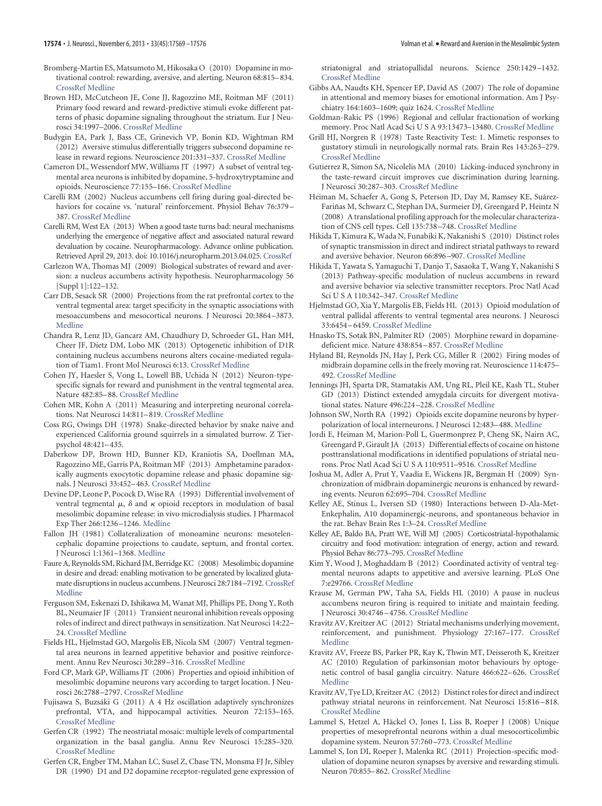- <span id="page-5-0"></span>Bromberg-Martin ES, Matsumoto M, Hikosaka O (2010) Dopamine in motivational control: rewarding, aversive, and alerting. Neuron 68:815–834. [CrossRef](http://dx.doi.org/10.1016/j.neuron.2010.11.022) [Medline](http://www.ncbi.nlm.nih.gov/pubmed/21144997)
- <span id="page-5-32"></span>Brown HD, McCutcheon JE, Cone JJ, Ragozzino ME, Roitman MF (2011) Primary food reward and reward-predictive stimuli evoke different patterns of phasic dopamine signaling throughout the striatum. Eur J Neurosci 34:1997–2006. [CrossRef](http://dx.doi.org/10.1111/j.1460-9568.2011.07914.x) [Medline](http://www.ncbi.nlm.nih.gov/pubmed/22122410)
- <span id="page-5-5"></span>Budygin EA, Park J, Bass CE, Grinevich VP, Bonin KD, Wightman RM (2012) Aversive stimulus differentially triggers subsecond dopamine release in reward regions. Neuroscience 201:331–337. [CrossRef](http://dx.doi.org/10.1016/j.neuroscience.2011.10.056) [Medline](http://www.ncbi.nlm.nih.gov/pubmed/22108611)
- <span id="page-5-21"></span>Cameron DL, Wessendorf MW, Williams JT (1997) A subset of ventral tegmental area neurons is inhibited by dopamine, 5-hydroxytryptamine and opioids. Neuroscience 77:155–166. [CrossRef](http://dx.doi.org/10.1016/S0306-4522(96)00444-7) [Medline](http://www.ncbi.nlm.nih.gov/pubmed/9044383)
- <span id="page-5-7"></span>Carelli RM (2002) Nucleus accumbens cell firing during goal-directed behaviors for cocaine vs. 'natural' reinforcement. Physiol Behav 76:379 – 387. [CrossRef](http://dx.doi.org/10.1016/S0031-9384(02)00760-6) [Medline](http://www.ncbi.nlm.nih.gov/pubmed/12117574)
- <span id="page-5-8"></span>Carelli RM, West EA (2013) When a good taste turns bad: neural mechanisms underlying the emergence of negative affect and associated natural reward devaluation by cocaine. Neuropharmacology. Advance online publication. Retrieved April 29, 2013. doi: 10.1016/j.neuropharm.2013.04.025. [CrossRef](http://dx.doi.org/10.1016/j.neuropharm.2013.04.025)
- <span id="page-5-9"></span>Carlezon WA, Thomas MJ (2009) Biological substrates of reward and aversion: a nucleus accumbens activity hypothesis. Neuropharmacology 56 [Suppl 1]:122–132.
- <span id="page-5-15"></span>Carr DB, Sesack SR (2000) Projections from the rat prefrontal cortex to the ventral tegmental area: target specificity in the synaptic associations with mesoaccumbens and mesocortical neurons. J Neurosci 20:3864 –3873. [Medline](http://www.ncbi.nlm.nih.gov/pubmed/10804226)
- <span id="page-5-42"></span>Chandra R, Lenz JD, Gancarz AM, Chaudhury D, Schroeder GL, Han MH, Cheer JF, Dietz DM, Lobo MK (2013) Optogenetic inhibition of D1R containing nucleus accumbens neurons alters cocaine-mediated regulation of Tiam1. Front Mol Neurosci 6:13. [CrossRef](http://dx.doi.org/10.3389/fnmol.2013.00013) [Medline](http://www.ncbi.nlm.nih.gov/pubmed/23745104)
- <span id="page-5-4"></span>Cohen JY, Haesler S, Vong L, Lowell BB, Uchida N (2012) Neuron-typespecific signals for reward and punishment in the ventral tegmental area. Nature 482:85–88. [CrossRef](http://dx.doi.org/10.1038/nature10754) [Medline](http://www.ncbi.nlm.nih.gov/pubmed/22258508)
- <span id="page-5-24"></span>Cohen MR, Kohn A (2011) Measuring and interpreting neuronal correlations. Nat Neurosci 14:811–819. [CrossRef](http://dx.doi.org/10.1038/nn.2842) [Medline](http://www.ncbi.nlm.nih.gov/pubmed/21709677)
- <span id="page-5-29"></span>Coss RG, Owings DH (1978) Snake-directed behavior by snake naive and experienced California ground squirrels in a simulated burrow. Z Tierpsychol 48:421–435.
- <span id="page-5-33"></span>Daberkow DP, Brown HD, Bunner KD, Kraniotis SA, Doellman MA, Ragozzino ME, Garris PA, Roitman MF (2013) Amphetamine paradoxically augments exocytotic dopamine release and phasic dopamine signals. J Neurosci 33:452–463. [CrossRef](http://dx.doi.org/10.1523/JNEUROSCI.2136-12.2013) [Medline](http://www.ncbi.nlm.nih.gov/pubmed/23303926)
- <span id="page-5-17"></span>Devine DP, Leone P, Pocock D, Wise RA (1993) Differential involvement of ventral tegmental  $\mu$ ,  $\delta$  and  $\kappa$  opioid receptors in modulation of basal mesolimbic dopamine release: in vivo microdialysis studies. J Pharmacol Exp Ther 266:1236 –1246. [Medline](http://www.ncbi.nlm.nih.gov/pubmed/7690399)
- <span id="page-5-13"></span>Fallon JH (1981) Collateralization of monoamine neurons: mesotelencephalic dopamine projections to caudate, septum, and frontal cortex. J Neurosci 1:1361–1368. [Medline](http://www.ncbi.nlm.nih.gov/pubmed/6172572)
- <span id="page-5-30"></span>Faure A, Reynolds SM, Richard JM, Berridge KC (2008) Mesolimbic dopamine in desire and dread: enabling motivation to be generated by localized glutamate disruptions in nucleus accumbens. J Neurosci 28:7184 –7192. [CrossRef](http://dx.doi.org/10.1523/JNEUROSCI.4961-07.2008) [Medline](http://www.ncbi.nlm.nih.gov/pubmed/18614688)
- <span id="page-5-40"></span>Ferguson SM, Eskenazi D, Ishikawa M, Wanat MJ, Phillips PE, Dong Y, Roth BL, Neumaier JF (2011) Transient neuronal inhibition reveals opposing roles of indirect and direct pathways in sensitization. Nat Neurosci 14:22– 24. [CrossRef](http://dx.doi.org/10.1038/nn.2703) [Medline](http://www.ncbi.nlm.nih.gov/pubmed/21131952)
- <span id="page-5-12"></span>Fields HL, Hjelmstad GO, Margolis EB, Nicola SM (2007) Ventral tegmental area neurons in learned appetitive behavior and positive reinforcement. Annu Rev Neurosci 30:289 –316. [CrossRef](http://dx.doi.org/10.1146/annurev.neuro.30.051606.094341) [Medline](http://www.ncbi.nlm.nih.gov/pubmed/17376009)
- <span id="page-5-1"></span>Ford CP, Mark GP, Williams JT (2006) Properties and opioid inhibition of mesolimbic dopamine neurons vary according to target location. J Neurosci 26:2788 –2797. [CrossRef](http://dx.doi.org/10.1523/JNEUROSCI.4331-05.2006) [Medline](http://www.ncbi.nlm.nih.gov/pubmed/16525058)
- <span id="page-5-27"></span>Fujisawa S, Buzsáki G (2011) A 4 Hz oscillation adaptively synchronizes prefrontal, VTA, and hippocampal activities. Neuron 72:153–165. [CrossRef](http://dx.doi.org/10.1016/j.neuron.2011.08.018) [Medline](http://www.ncbi.nlm.nih.gov/pubmed/21982376)
- <span id="page-5-37"></span>Gerfen CR (1992) The neostriatal mosaic: multiple levels of compartmental organization in the basal ganglia. Annu Rev Neurosci 15:285–320. [CrossRef](http://dx.doi.org/10.1146/annurev.ne.15.030192.001441) [Medline](http://www.ncbi.nlm.nih.gov/pubmed/1575444)
- <span id="page-5-36"></span>Gerfen CR, Engber TM, Mahan LC, Susel Z, Chase TN, Monsma FJ Jr, Sibley DR (1990) D1 and D2 dopamine receptor-regulated gene expression of

striatonigral and striatopallidal neurons. Science 250:1429 –1432. [CrossRef](http://dx.doi.org/10.1126/science.2147780) [Medline](http://www.ncbi.nlm.nih.gov/pubmed/2147780)

- <span id="page-5-23"></span>Gibbs AA, Naudts KH, Spencer EP, David AS (2007) The role of dopamine in attentional and memory biases for emotional information. Am J Psychiatry 164:1603–1609; quiz 1624. [CrossRef](http://dx.doi.org/10.1176/appi.ajp.2007.06081241) [Medline](http://www.ncbi.nlm.nih.gov/pubmed/17898353)
- <span id="page-5-22"></span>Goldman-Rakic PS (1996) Regional and cellular fractionation of working memory. Proc Natl Acad Sci U S A 93:13473–13480. [CrossRef](http://dx.doi.org/10.1073/pnas.93.24.13473) [Medline](http://www.ncbi.nlm.nih.gov/pubmed/8942959)
- <span id="page-5-31"></span>Grill HJ, Norgren R (1978) Taste Reactivity Test: 1. Mimetic responses to gustatory stimuli in neurologically normal rats. Brain Res 143:263–279. [CrossRef](http://dx.doi.org/10.1016/0006-8993(78)90568-1) [Medline](http://www.ncbi.nlm.nih.gov/pubmed/630409)
- <span id="page-5-34"></span>Gutierrez R, Simon SA, Nicolelis MA (2010) Licking-induced synchrony in the taste-reward circuit improves cue discrimination during learning. J Neurosci 30:287–303. [CrossRef](http://dx.doi.org/10.1523/JNEUROSCI.0855-09.2010) [Medline](http://www.ncbi.nlm.nih.gov/pubmed/20053910)
- <span id="page-5-43"></span>Heiman M, Schaefer A, Gong S, Peterson JD, Day M, Ramsey KE, Suárez-Fariñas M, Schwarz C, Stephan DA, Surmeier DJ, Greengard P, Heintz N (2008) A translational profiling approach for the molecular characterization of CNS cell types. Cell 135:738 –748. [CrossRef](http://dx.doi.org/10.1016/j.cell.2008.10.028) [Medline](http://www.ncbi.nlm.nih.gov/pubmed/19013281)
- <span id="page-5-10"></span>Hikida T, Kimura K, Wada N, Funabiki K, Nakanishi S (2010) Distinct roles of synaptic transmission in direct and indirect striatal pathways to reward and aversive behavior. Neuron 66:896 –907. [CrossRef](http://dx.doi.org/10.1016/j.neuron.2010.05.011) [Medline](http://www.ncbi.nlm.nih.gov/pubmed/20620875)
- <span id="page-5-11"></span>Hikida T, Yawata S, Yamaguchi T, Danjo T, Sasaoka T, Wang Y, Nakanishi S (2013) Pathway-specific modulation of nucleus accumbens in reward and aversive behavior via selective transmitter receptors. Proc Natl Acad Sci U S A 110:342–347. [CrossRef](http://dx.doi.org/10.1073/pnas.1220358110) [Medline](http://www.ncbi.nlm.nih.gov/pubmed/23248274)
- <span id="page-5-14"></span>Hjelmstad GO, Xia Y, Margolis EB, Fields HL (2013) Opioid modulation of ventral pallidal afferents to ventral tegmental area neurons. J Neurosci 33:6454 –6459. [CrossRef](http://dx.doi.org/10.1523/JNEUROSCI.0178-13.2013) [Medline](http://www.ncbi.nlm.nih.gov/pubmed/23575843)
- <span id="page-5-20"></span>Hnasko TS, Sotak BN, Palmiter RD (2005) Morphine reward in dopaminedeficient mice. Nature 438:854 –857. [CrossRef](http://dx.doi.org/10.1038/nature04172) [Medline](http://www.ncbi.nlm.nih.gov/pubmed/16341013)
- <span id="page-5-26"></span>Hyland BI, Reynolds JN, Hay J, Perk CG, Miller R (2002) Firing modes of midbrain dopamine cells in the freely moving rat. Neuroscience 114:475– 492. [CrossRef](http://dx.doi.org/10.1016/S0306-4522(02)00267-1) [Medline](http://www.ncbi.nlm.nih.gov/pubmed/12204216)
- <span id="page-5-16"></span>Jennings JH, Sparta DR, Stamatakis AM, Ung RL, Pleil KE, Kash TL, Stuber GD (2013) Distinct extended amygdala circuits for divergent motivational states. Nature 496:224 –228. [CrossRef](http://dx.doi.org/10.1038/nature12041) [Medline](http://www.ncbi.nlm.nih.gov/pubmed/23515155)
- <span id="page-5-19"></span>Johnson SW, North RA (1992) Opioids excite dopamine neurons by hyperpolarization of local interneurons. J Neurosci 12:483–488. [Medline](http://www.ncbi.nlm.nih.gov/pubmed/1346804)
- <span id="page-5-44"></span>Jordi E, Heiman M, Marion-Poll L, Guermonprez P, Cheng SK, Nairn AC, Greengard P, Girault JA (2013) Differential effects of cocaine on histone posttranslational modifications in identified populations of striatal neurons. Proc Natl Acad Sci U S A 110:9511–9516. [CrossRef](http://dx.doi.org/10.1073/pnas.1307116110) [Medline](http://www.ncbi.nlm.nih.gov/pubmed/23690581)
- <span id="page-5-25"></span>Joshua M, Adler A, Prut Y, Vaadia E, Wickens JR, Bergman H (2009) Synchronization of midbrain dopaminergic neurons is enhanced by rewarding events. Neuron 62:695–704. [CrossRef](http://dx.doi.org/10.1016/j.neuron.2009.04.026) [Medline](http://www.ncbi.nlm.nih.gov/pubmed/19524528)
- <span id="page-5-18"></span>Kelley AE, Stinus L, Iversen SD (1980) Interactions between D-Ala-Met-Enkephalin, A10 dopaminergic-neurons, and spontaneous behavior in the rat. Behav Brain Res 1:3–24. [CrossRef](http://dx.doi.org/10.1016/0166-4328(80)90043-1) [Medline](http://www.ncbi.nlm.nih.gov/pubmed/6269560)
- <span id="page-5-28"></span>Kelley AE, Baldo BA, Pratt WE, Will MJ (2005) Corticostriatal-hypothalamic circuitry and food motivation: integration of energy, action and reward. Physiol Behav 86:773–795. [CrossRef](http://dx.doi.org/10.1016/j.physbeh.2005.08.066) [Medline](http://www.ncbi.nlm.nih.gov/pubmed/16289609)
- <span id="page-5-6"></span>Kim Y, Wood J, Moghaddam B (2012) Coordinated activity of ventral tegmental neurons adapts to appetitive and aversive learning. PLoS One 7:e29766. [CrossRef](http://dx.doi.org/10.1371/journal.pone.0029766) [Medline](http://www.ncbi.nlm.nih.gov/pubmed/22238652)
- <span id="page-5-35"></span>Krause M, German PW, Taha SA, Fields HL (2010) A pause in nucleus accumbens neuron firing is required to initiate and maintain feeding. J Neurosci 30:4746 –4756. [CrossRef](http://dx.doi.org/10.1523/JNEUROSCI.0197-10.2010) [Medline](http://www.ncbi.nlm.nih.gov/pubmed/20357125)
- <span id="page-5-41"></span>Kravitz AV, Kreitzer AC (2012) Striatal mechanisms underlying movement, reinforcement, and punishment. Physiology 27:167–177. [CrossRef](http://dx.doi.org/10.1152/physiol.00004.2012) [Medline](http://www.ncbi.nlm.nih.gov/pubmed/22689792)
- <span id="page-5-38"></span>Kravitz AV, Freeze BS, Parker PR, Kay K, Thwin MT, Deisseroth K, Kreitzer AC (2010) Regulation of parkinsonian motor behaviours by optogenetic control of basal ganglia circuitry. Nature 466:622–626. [CrossRef](http://dx.doi.org/10.1038/nature09159) [Medline](http://www.ncbi.nlm.nih.gov/pubmed/20613723)
- <span id="page-5-39"></span>Kravitz AV, Tye LD, Kreitzer AC (2012) Distinct roles for direct and indirect pathway striatal neurons in reinforcement. Nat Neurosci 15:816 –818. [CrossRef](http://dx.doi.org/10.1038/nn.3100) [Medline](http://www.ncbi.nlm.nih.gov/pubmed/22544310)
- <span id="page-5-2"></span>Lammel S, Hetzel A, Häckel O, Jones I, Liss B, Roeper J (2008) Unique properties of mesoprefrontal neurons within a dual mesocorticolimbic dopamine system. Neuron 57:760 –773. [CrossRef](http://dx.doi.org/10.1016/j.neuron.2008.01.022) [Medline](http://www.ncbi.nlm.nih.gov/pubmed/18341995)
- <span id="page-5-3"></span>Lammel S, Ion DI, Roeper J, Malenka RC (2011) Projection-specific modulation of dopamine neuron synapses by aversive and rewarding stimuli. Neuron 70:855–862. [CrossRef](http://dx.doi.org/10.1016/j.neuron.2011.03.025) [Medline](http://www.ncbi.nlm.nih.gov/pubmed/21658580)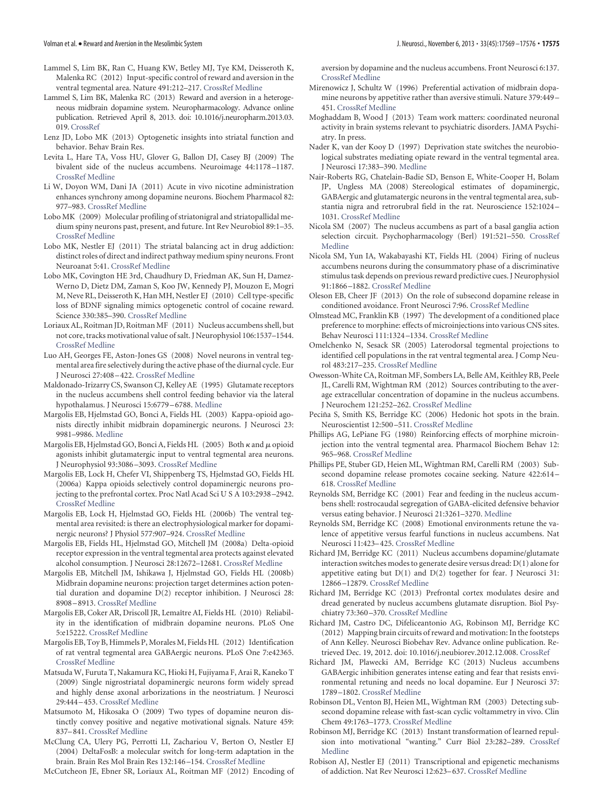- <span id="page-6-18"></span>Lammel S, Lim BK, Ran C, Huang KW, Betley MJ, Tye KM, Deisseroth K, Malenka RC (2012) Input-specific control of reward and aversion in the ventral tegmental area. Nature 491:212–217. [CrossRef](http://dx.doi.org/10.1038/nature11527) [Medline](http://www.ncbi.nlm.nih.gov/pubmed/23064228)
- <span id="page-6-0"></span>Lammel S, Lim BK, Malenka RC (2013) Reward and aversion in a heterogeneous midbrain dopamine system. Neuropharmacology. Advance online publication. Retrieved April 8, 2013. doi: 10.1016/j.neuropharm.2013.03. 019. [CrossRef](http://dx.doi.org/10.1016/j.neuropharm.2013.03.019)
- <span id="page-6-44"></span>Lenz JD, Lobo MK (2013) Optogenetic insights into striatal function and behavior. Behav Brain Res.
- <span id="page-6-28"></span>Levita L, Hare TA, Voss HU, Glover G, Ballon DJ, Casey BJ (2009) The bivalent side of the nucleus accumbens. Neuroimage 44:1178 –1187. [CrossRef](http://dx.doi.org/10.1016/j.neuroimage.2008.09.039) [Medline](http://www.ncbi.nlm.nih.gov/pubmed/18976715)
- <span id="page-6-27"></span>Li W, Doyon WM, Dani JA (2011) Acute in vivo nicotine administration enhances synchrony among dopamine neurons. Biochem Pharmacol 82: 977–983. [CrossRef](http://dx.doi.org/10.1016/j.bcp.2011.06.006) [Medline](http://www.ncbi.nlm.nih.gov/pubmed/21684263)
- <span id="page-6-40"></span>Lobo MK (2009) Molecular profiling of striatonigral and striatopallidal medium spiny neurons past, present, and future. Int Rev Neurobiol 89:1–35. [CrossRef](http://dx.doi.org/10.1016/S0074-7742(09)89001-6) [Medline](http://www.ncbi.nlm.nih.gov/pubmed/19900613)
- <span id="page-6-12"></span>Lobo MK, Nestler EJ (2011) The striatal balancing act in drug addiction: distinct roles of direct and indirect pathway medium spiny neurons. Front Neuroanat 5:41. [CrossRef](http://dx.doi.org/10.3389/fnana.2011.00041) [Medline](http://www.ncbi.nlm.nih.gov/pubmed/21811439)
- <span id="page-6-39"></span>Lobo MK, Covington HE 3rd, Chaudhury D, Friedman AK, Sun H, Damez-Werno D, Dietz DM, Zaman S, Koo JW, Kennedy PJ, Mouzon E, Mogri M, Neve RL, Deisseroth K, Han MH, Nestler EJ (2010) Cell type-specific loss of BDNF signaling mimics optogenetic control of cocaine reward. Science 330:385–390. [CrossRef](http://dx.doi.org/10.1126/science.1188472) [Medline](http://www.ncbi.nlm.nih.gov/pubmed/20947769)
- <span id="page-6-10"></span>Loriaux AL, Roitman JD, Roitman MF (2011) Nucleus accumbens shell, but not core, tracks motivational value of salt. J Neurophysiol 106:1537–1544. [CrossRef](http://dx.doi.org/10.1152/jn.00153.2011) [Medline](http://www.ncbi.nlm.nih.gov/pubmed/21697439)
- <span id="page-6-25"></span>Luo AH, Georges FE, Aston-Jones GS (2008) Novel neurons in ventral tegmental area fire selectively during the active phase of the diurnal cycle. Eur J Neurosci 27:408 –422. [CrossRef](http://dx.doi.org/10.1111/j.1460-9568.2007.05985.x) [Medline](http://www.ncbi.nlm.nih.gov/pubmed/18215237)
- <span id="page-6-29"></span>Maldonado-Irizarry CS, Swanson CJ, Kelley AE (1995) Glutamate receptors in the nucleus accumbens shell control feeding behavior via the lateral hypothalamus. J Neurosci 15:6779 –6788. [Medline](http://www.ncbi.nlm.nih.gov/pubmed/7472436)
- <span id="page-6-24"></span>Margolis EB, Hjelmstad GO, Bonci A, Fields HL (2003) Kappa-opioid agonists directly inhibit midbrain dopaminergic neurons. J Neurosci 23: 9981–9986. [Medline](http://www.ncbi.nlm.nih.gov/pubmed/14602811)
- <span id="page-6-23"></span>Margolis EB, Hjelmstad GO, Bonci A, Fields HL (2005) Both  $\kappa$  and  $\mu$  opioid agonists inhibit glutamatergic input to ventral tegmental area neurons. J Neurophysiol 93:3086 –3093. [CrossRef](http://dx.doi.org/10.1152/jn.00855.2004) [Medline](http://www.ncbi.nlm.nih.gov/pubmed/15615834)
- <span id="page-6-2"></span>Margolis EB, Lock H, Chefer VI, Shippenberg TS, Hjelmstad GO, Fields HL (2006a) Kappa opioids selectively control dopaminergic neurons projecting to the prefrontal cortex. Proc Natl Acad Sci U S A 103:2938 –2942. [CrossRef](http://dx.doi.org/10.1073/pnas.0511159103) [Medline](http://www.ncbi.nlm.nih.gov/pubmed/16477003)
- <span id="page-6-13"></span>Margolis EB, Lock H, Hjelmstad GO, Fields HL (2006b) The ventral tegmental area revisited: is there an electrophysiological marker for dopaminergic neurons? J Physiol 577:907–924. [CrossRef](http://dx.doi.org/10.1113/jphysiol.2006.117069) [Medline](http://www.ncbi.nlm.nih.gov/pubmed/16959856)
- <span id="page-6-22"></span>Margolis EB, Fields HL, Hjelmstad GO, Mitchell JM (2008a) Delta-opioid receptor expression in the ventral tegmental area protects against elevated alcohol consumption. J Neurosci 28:12672–12681. [CrossRef](http://dx.doi.org/10.1523/JNEUROSCI.4569-08.2008) [Medline](http://www.ncbi.nlm.nih.gov/pubmed/19036960)
- <span id="page-6-3"></span>Margolis EB, Mitchell JM, Ishikawa J, Hjelmstad GO, Fields HL (2008b) Midbrain dopamine neurons: projection target determines action potential duration and dopamine D(2) receptor inhibition. J Neurosci 28: 8908 –8913. [CrossRef](http://dx.doi.org/10.1523/JNEUROSCI.1526-08.2008) [Medline](http://www.ncbi.nlm.nih.gov/pubmed/18768684)
- <span id="page-6-17"></span>Margolis EB, Coker AR, Driscoll JR, Lemaître AI, Fields HL (2010) Reliability in the identification of midbrain dopamine neurons. PLoS One 5:e15222. [CrossRef](http://dx.doi.org/10.1371/journal.pone.0015222) [Medline](http://www.ncbi.nlm.nih.gov/pubmed/21151605)
- <span id="page-6-1"></span>Margolis EB, Toy B, Himmels P, Morales M, Fields HL (2012) Identification of rat ventral tegmental area GABAergic neurons. PLoS One 7:e42365. [CrossRef](http://dx.doi.org/10.1371/journal.pone.0042365) [Medline](http://www.ncbi.nlm.nih.gov/pubmed/22860119)
- <span id="page-6-15"></span>Matsuda W, Furuta T, Nakamura KC, Hioki H, Fujiyama F, Arai R, Kaneko T (2009) Single nigrostriatal dopaminergic neurons form widely spread and highly dense axonal arborizations in the neostriatum. J Neurosci 29:444 –453. [CrossRef](http://dx.doi.org/10.1523/JNEUROSCI.4029-08.2009) [Medline](http://www.ncbi.nlm.nih.gov/pubmed/19144844)
- <span id="page-6-37"></span>Matsumoto M, Hikosaka O (2009) Two types of dopamine neuron distinctly convey positive and negative motivational signals. Nature 459: 837–841. [CrossRef](http://dx.doi.org/10.1038/nature08028) [Medline](http://www.ncbi.nlm.nih.gov/pubmed/19448610)
- <span id="page-6-42"></span>McClung CA, Ulery PG, Perrotti LI, Zachariou V, Berton O, Nestler EJ (2004) DeltaFosB: a molecular switch for long-term adaptation in the brain. Brain Res Mol Brain Res 132:146 –154. [CrossRef](http://dx.doi.org/10.1016/j.molbrainres.2004.05.014) [Medline](http://www.ncbi.nlm.nih.gov/pubmed/15582154)
- <span id="page-6-6"></span>McCutcheon JE, Ebner SR, Loriaux AL, Roitman MF (2012) Encoding of

aversion by dopamine and the nucleus accumbens. Front Neurosci 6:137. [CrossRef](http://dx.doi.org/10.3389/fnins.2012.00137) [Medline](http://www.ncbi.nlm.nih.gov/pubmed/23055953)

- <span id="page-6-36"></span>Mirenowicz J, Schultz W (1996) Preferential activation of midbrain dopamine neurons by appetitive rather than aversive stimuli. Nature 379:449 – 451. [CrossRef](http://dx.doi.org/10.1038/379449a0) [Medline](http://www.ncbi.nlm.nih.gov/pubmed/8559249)
- <span id="page-6-26"></span>Moghaddam B, Wood J (2013) Team work matters: coordinated neuronal activity in brain systems relevant to psychiatric disorders. JAMA Psychiatry. In press.
- <span id="page-6-20"></span>Nader K, van der Kooy D (1997) Deprivation state switches the neurobiological substrates mediating opiate reward in the ventral tegmental area. J Neurosci 17:383–390. [Medline](http://www.ncbi.nlm.nih.gov/pubmed/8987763)
- <span id="page-6-14"></span>Nair-Roberts RG, Chatelain-Badie SD, Benson E, White-Cooper H, Bolam JP, Ungless MA (2008) Stereological estimates of dopaminergic, GABAergic and glutamatergic neurons in the ventral tegmental area, substantia nigra and retrorubral field in the rat. Neuroscience 152:1024 – 1031. [CrossRef](http://dx.doi.org/10.1016/j.neuroscience.2008.01.046) [Medline](http://www.ncbi.nlm.nih.gov/pubmed/18355970)
- <span id="page-6-41"></span>Nicola SM (2007) The nucleus accumbens as part of a basal ganglia action selection circuit. Psychopharmacology (Berl) 191:521–550. [CrossRef](http://dx.doi.org/10.1007/s00213-006-0510-4) [Medline](http://www.ncbi.nlm.nih.gov/pubmed/16983543)
- <span id="page-6-38"></span>Nicola SM, Yun IA, Wakabayashi KT, Fields HL (2004) Firing of nucleus accumbens neurons during the consummatory phase of a discriminative stimulus task depends on previous reward predictive cues. J Neurophysiol 91:1866 –1882. [CrossRef](http://dx.doi.org/10.1152/jn.00658.2003) [Medline](http://www.ncbi.nlm.nih.gov/pubmed/14645378)
- <span id="page-6-4"></span>Oleson EB, Cheer JF (2013) On the role of subsecond dopamine release in conditioned avoidance. Front Neurosci 7:96. [CrossRef](http://dx.doi.org/10.3389/fnins.2013.00096) [Medline](http://www.ncbi.nlm.nih.gov/pubmed/23759871)
- <span id="page-6-21"></span>Olmstead MC, Franklin KB (1997) The development of a conditioned place preference to morphine: effects of microinjections into various CNS sites. Behav Neurosci 111:1324 –1334. [CrossRef](http://dx.doi.org/10.1037/0735-7044.111.6.1324) [Medline](http://www.ncbi.nlm.nih.gov/pubmed/9438801)
- <span id="page-6-16"></span>Omelchenko N, Sesack SR (2005) Laterodorsal tegmental projections to identified cell populations in the rat ventral tegmental area. J Comp Neurol 483:217–235. [CrossRef](http://dx.doi.org/10.1002/cne.20417) [Medline](http://www.ncbi.nlm.nih.gov/pubmed/15678476)
- <span id="page-6-34"></span>Owesson-White CA, Roitman MF, Sombers LA, Belle AM, Keithley RB, Peele JL, Carelli RM, Wightman RM (2012) Sources contributing to the average extracellular concentration of dopamine in the nucleus accumbens. J Neurochem 121:252–262. [CrossRef](http://dx.doi.org/10.1111/j.1471-4159.2012.07677.x) [Medline](http://www.ncbi.nlm.nih.gov/pubmed/22296263)
- <span id="page-6-7"></span>Peciña S, Smith KS, Berridge KC (2006) Hedonic hot spots in the brain. Neuroscientist 12:500 –511. [CrossRef](http://dx.doi.org/10.1177/1073858406293154) [Medline](http://www.ncbi.nlm.nih.gov/pubmed/17079516)
- <span id="page-6-19"></span>Phillips AG, LePiane FG (1980) Reinforcing effects of morphine microinjection into the ventral tegmental area. Pharmacol Biochem Behav 12: 965–968. [CrossRef](http://dx.doi.org/10.1016/0091-3057(80)90460-8) [Medline](http://www.ncbi.nlm.nih.gov/pubmed/7403209)
- <span id="page-6-35"></span>Phillips PE, Stuber GD, Heien ML, Wightman RM, Carelli RM (2003) Subsecond dopamine release promotes cocaine seeking. Nature 422:614 – 618. [CrossRef](http://dx.doi.org/10.1038/nature01476) [Medline](http://www.ncbi.nlm.nih.gov/pubmed/12687000)
- <span id="page-6-30"></span>Reynolds SM, Berridge KC (2001) Fear and feeding in the nucleus accumbens shell: rostrocaudal segregation of GABA-elicited defensive behavior versus eating behavior. J Neurosci 21:3261–3270. [Medline](http://www.ncbi.nlm.nih.gov/pubmed/11312311)
- <span id="page-6-9"></span>Reynolds SM, Berridge KC (2008) Emotional environments retune the valence of appetitive versus fearful functions in nucleus accumbens. Nat Neurosci 11:423–425. [CrossRef](http://dx.doi.org/10.1038/nn2061) [Medline](http://www.ncbi.nlm.nih.gov/pubmed/18344996)
- <span id="page-6-31"></span>Richard JM, Berridge KC (2011) Nucleus accumbens dopamine/glutamate interaction switches modes to generate desire versus dread: D(1) alone for appetitive eating but D(1) and D(2) together for fear. J Neurosci 31: 12866 –12879. [CrossRef](http://dx.doi.org/10.1523/JNEUROSCI.1339-11.2011) [Medline](http://www.ncbi.nlm.nih.gov/pubmed/21900565)
- <span id="page-6-32"></span>Richard JM, Berridge KC (2013) Prefrontal cortex modulates desire and dread generated by nucleus accumbens glutamate disruption. Biol Psychiatry 73:360 –370. [CrossRef](http://dx.doi.org/10.1016/j.biopsych.2012.08.009) [Medline](http://www.ncbi.nlm.nih.gov/pubmed/22981656)
- <span id="page-6-5"></span>Richard JM, Castro DC, Difeliceantonio AG, Robinson MJ, Berridge KC (2012) Mapping brain circuits of reward and motivation: In the footsteps of Ann Kelley. Neurosci Biobehav Rev. Advance online publication. Retrieved Dec. 19, 2012. doi: 10.1016/j.neubiorev.2012.12.008. [CrossRef](http://dx.doi.org/10.1016/j.neubiorev.2012.12.008)
- <span id="page-6-8"></span>Richard JM, Plawecki AM, Berridge KC (2013) Nucleus accumbens GABAergic inhibition generates intense eating and fear that resists environmental retuning and needs no local dopamine. Eur J Neurosci 37: 1789 –1802. [CrossRef](http://dx.doi.org/10.1111/ejn.12194) [Medline](http://www.ncbi.nlm.nih.gov/pubmed/23551138)
- <span id="page-6-33"></span>Robinson DL, Venton BJ, Heien ML, Wightman RM (2003) Detecting subsecond dopamine release with fast-scan cyclic voltammetry in vivo. Clin Chem 49:1763–1773. [CrossRef](http://dx.doi.org/10.1373/49.10.1763) [Medline](http://www.ncbi.nlm.nih.gov/pubmed/14500617)
- <span id="page-6-11"></span>Robinson MJ, Berridge KC (2013) Instant transformation of learned repulsion into motivational "wanting." Curr Biol 23:282–289. [CrossRef](http://dx.doi.org/10.1016/j.cub.2013.01.016) [Medline](http://www.ncbi.nlm.nih.gov/pubmed/23375893)
- <span id="page-6-43"></span>Robison AJ, Nestler EJ (2011) Transcriptional and epigenetic mechanisms of addiction. Nat Rev Neurosci 12:623–637. [CrossRef](http://dx.doi.org/10.1038/nrn3111) [Medline](http://www.ncbi.nlm.nih.gov/pubmed/21989194)